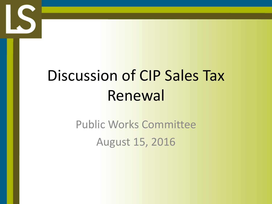

# Discussion of CIP Sales Tax Renewal

Public Works Committee August 15, 2016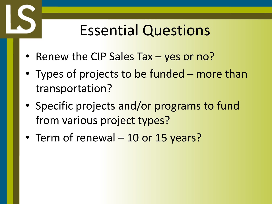#### Essential Questions

- Renew the CIP Sales Tax yes or no?
- Types of projects to be funded more than transportation?
- Specific projects and/or programs to fund from various project types?
- Term of renewal 10 or 15 years?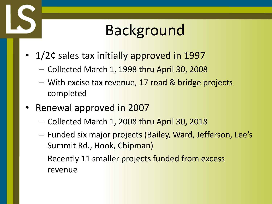### Background

- 1/2¢ sales tax initially approved in 1997
	- Collected March 1, 1998 thru April 30, 2008
	- With excise tax revenue, 17 road & bridge projects completed
- Renewal approved in 2007
	- Collected March 1, 2008 thru April 30, 2018
	- Funded six major projects (Bailey, Ward, Jefferson, Lee's Summit Rd., Hook, Chipman)
	- Recently 11 smaller projects funded from excess revenue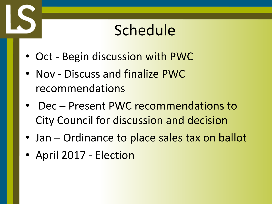### Schedule

- Oct Begin discussion with PWC
- Nov Discuss and finalize PWC recommendations
- Dec Present PWC recommendations to City Council for discussion and decision
- Jan Ordinance to place sales tax on ballot
- April 2017 Election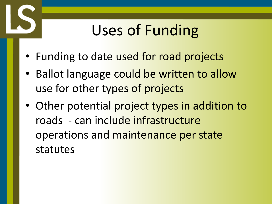## Uses of Funding

- Funding to date used for road projects
- Ballot language could be written to allow use for other types of projects
- Other potential project types in addition to roads - can include infrastructure operations and maintenance per state statutes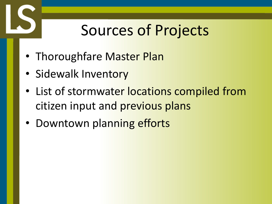### Sources of Projects

- Thoroughfare Master Plan
- Sidewalk Inventory
- List of stormwater locations compiled from citizen input and previous plans
- Downtown planning efforts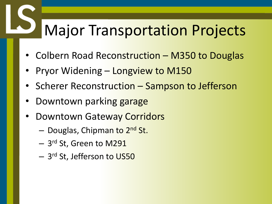### Major Transportation Projects

- Colbern Road Reconstruction M350 to Douglas
- Pryor Widening Longview to M150
- Scherer Reconstruction Sampson to Jefferson
- Downtown parking garage
- Downtown Gateway Corridors
	- Douglas, Chipman to 2<sup>nd</sup> St.
	- $-$  3<sup>rd</sup> St, Green to M291
	- $-$  3<sup>rd</sup> St, Jefferson t<mark>o US50</mark>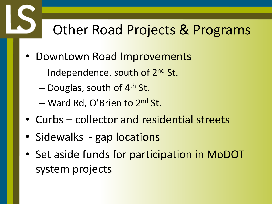#### Other Road Projects & Programs

- Downtown Road Improvements
	- Independence, south of 2<sup>nd</sup> St.
	- Douglas, south of 4<sup>th</sup> St.
	- Ward Rd, O'Brien to 2<sup>nd</sup> St.
- Curbs collector and residential streets
- Sidewalks gap locations
- Set aside funds for participation in MoDOT system projects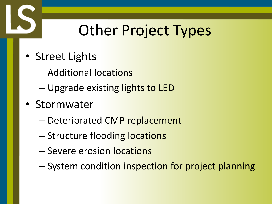# Other Project Types

- Street Lights
	- Additional locations
	- Upgrade existing lights to LED
- Stormwater
	- Deteriorated CMP replacement
	- Structure flooding locations
	- Severe erosion locations
	- System condition inspection for project planning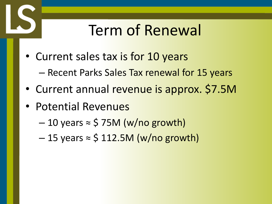### Term of Renewal

- Current sales tax is for 10 years
	- Recent Parks Sales Tax renewal for 15 years
- Current annual revenue is approx. \$7.5M
- Potential Revenues
	- $-10$  years  $\approx$  \$ 75M (w/no growth)
	- $-15$  years  $\approx$  \$ 112.5M (w/no growth)